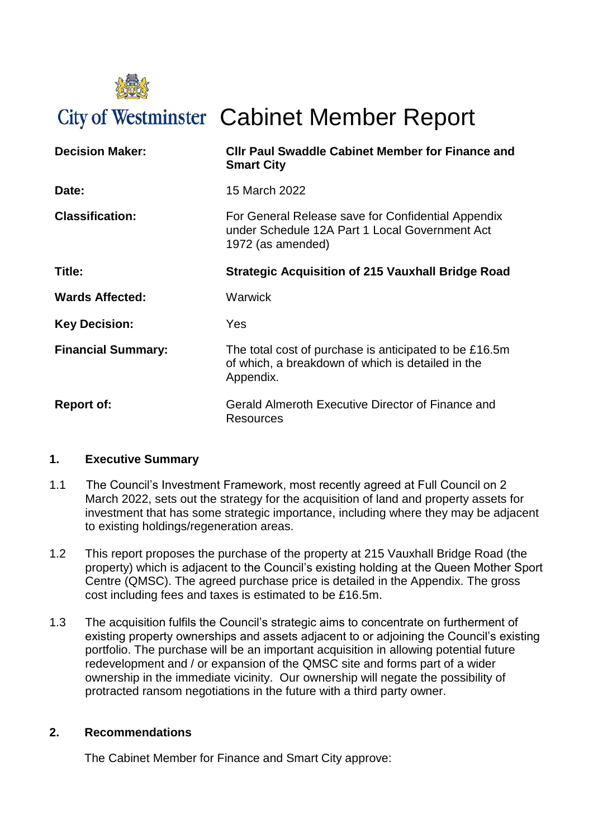

# City of Westminster Cabinet Member Report

| <b>Decision Maker:</b>    | <b>CIIr Paul Swaddle Cabinet Member for Finance and</b><br><b>Smart City</b>                                              |  |
|---------------------------|---------------------------------------------------------------------------------------------------------------------------|--|
| Date:                     | 15 March 2022                                                                                                             |  |
| <b>Classification:</b>    | For General Release save for Confidential Appendix<br>under Schedule 12A Part 1 Local Government Act<br>1972 (as amended) |  |
| Title:                    | <b>Strategic Acquisition of 215 Vauxhall Bridge Road</b>                                                                  |  |
| <b>Wards Affected:</b>    | Warwick                                                                                                                   |  |
| <b>Key Decision:</b>      | Yes                                                                                                                       |  |
| <b>Financial Summary:</b> | The total cost of purchase is anticipated to be £16.5m<br>of which, a breakdown of which is detailed in the<br>Appendix.  |  |
| <b>Report of:</b>         | Gerald Almeroth Executive Director of Finance and<br>Resources                                                            |  |

# **1. Executive Summary**

- 1.1 The Council's Investment Framework, most recently agreed at Full Council on 2 March 2022, sets out the strategy for the acquisition of land and property assets for investment that has some strategic importance, including where they may be adjacent to existing holdings/regeneration areas.
- 1.2 This report proposes the purchase of the property at 215 Vauxhall Bridge Road (the property) which is adjacent to the Council's existing holding at the Queen Mother Sport Centre (QMSC). The agreed purchase price is detailed in the Appendix. The gross cost including fees and taxes is estimated to be £16.5m.
- 1.3 The acquisition fulfils the Council's strategic aims to concentrate on furtherment of existing property ownerships and assets adjacent to or adjoining the Council's existing portfolio. The purchase will be an important acquisition in allowing potential future redevelopment and / or expansion of the QMSC site and forms part of a wider ownership in the immediate vicinity. Our ownership will negate the possibility of protracted ransom negotiations in the future with a third party owner.

#### **2. Recommendations**

The Cabinet Member for Finance and Smart City approve: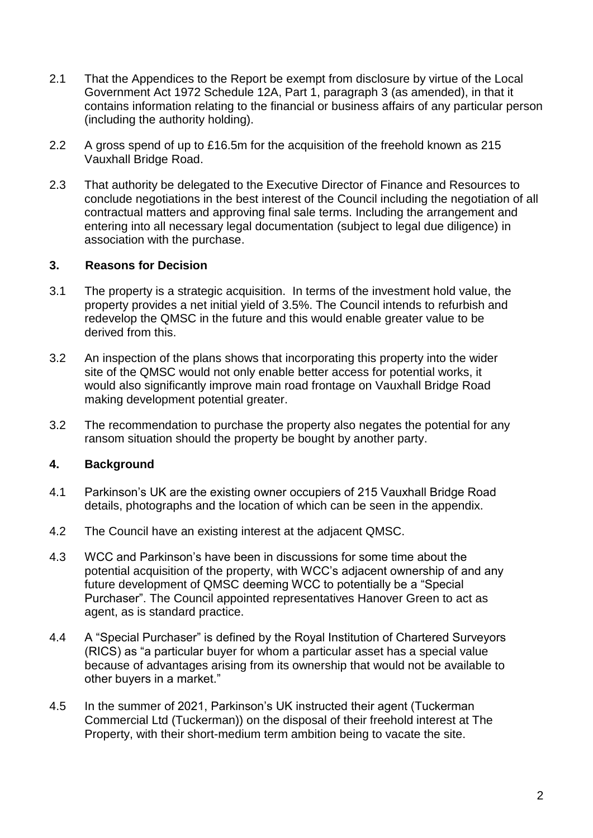- 2.1 That the Appendices to the Report be exempt from disclosure by virtue of the Local Government Act 1972 Schedule 12A, Part 1, paragraph 3 (as amended), in that it contains information relating to the financial or business affairs of any particular person (including the authority holding).
- 2.2 A gross spend of up to £16.5m for the acquisition of the freehold known as 215 Vauxhall Bridge Road.
- 2.3 That authority be delegated to the Executive Director of Finance and Resources to conclude negotiations in the best interest of the Council including the negotiation of all contractual matters and approving final sale terms. Including the arrangement and entering into all necessary legal documentation (subject to legal due diligence) in association with the purchase.

### **3. Reasons for Decision**

- 3.1 The property is a strategic acquisition. In terms of the investment hold value, the property provides a net initial yield of 3.5%. The Council intends to refurbish and redevelop the QMSC in the future and this would enable greater value to be derived from this.
- 3.2 An inspection of the plans shows that incorporating this property into the wider site of the QMSC would not only enable better access for potential works, it would also significantly improve main road frontage on Vauxhall Bridge Road making development potential greater.
- 3.2 The recommendation to purchase the property also negates the potential for any ransom situation should the property be bought by another party.

#### **4. Background**

- 4.1 Parkinson's UK are the existing owner occupiers of 215 Vauxhall Bridge Road details, photographs and the location of which can be seen in the appendix.
- 4.2 The Council have an existing interest at the adjacent QMSC.
- 4.3 WCC and Parkinson's have been in discussions for some time about the potential acquisition of the property, with WCC's adjacent ownership of and any future development of QMSC deeming WCC to potentially be a "Special Purchaser". The Council appointed representatives Hanover Green to act as agent, as is standard practice.
- 4.4 A "Special Purchaser" is defined by the Royal Institution of Chartered Surveyors (RICS) as "a particular buyer for whom a particular asset has a special value because of advantages arising from its ownership that would not be available to other buyers in a market."
- 4.5 In the summer of 2021, Parkinson's UK instructed their agent (Tuckerman Commercial Ltd (Tuckerman)) on the disposal of their freehold interest at The Property, with their short-medium term ambition being to vacate the site.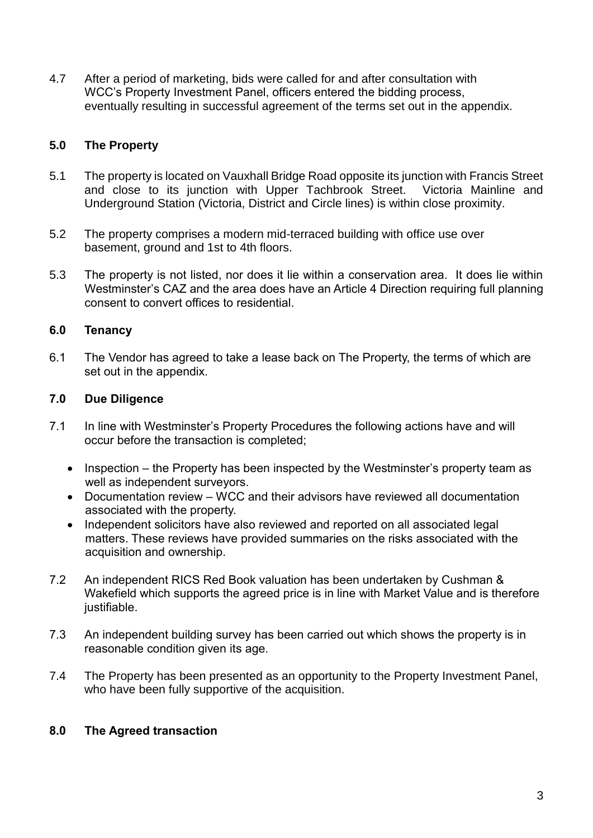4.7 After a period of marketing, bids were called for and after consultation with WCC's Property Investment Panel, officers entered the bidding process, eventually resulting in successful agreement of the terms set out in the appendix.

# **5.0 The Property**

- 5.1 The property is located on Vauxhall Bridge Road opposite its junction with Francis Street and close to its junction with Upper Tachbrook Street. Victoria Mainline and Underground Station (Victoria, District and Circle lines) is within close proximity.
- 5.2 The property comprises a modern mid-terraced building with office use over basement, ground and 1st to 4th floors.
- 5.3 The property is not listed, nor does it lie within a conservation area. It does lie within Westminster's CAZ and the area does have an Article 4 Direction requiring full planning consent to convert offices to residential.

# **6.0 Tenancy**

6.1 The Vendor has agreed to take a lease back on The Property, the terms of which are set out in the appendix.

# **7.0 Due Diligence**

- 7.1 In line with Westminster's Property Procedures the following actions have and will occur before the transaction is completed;
	- $\bullet$  Inspection the Property has been inspected by the Westminster's property team as well as independent surveyors.
	- Documentation review WCC and their advisors have reviewed all documentation associated with the property.
	- Independent solicitors have also reviewed and reported on all associated legal matters. These reviews have provided summaries on the risks associated with the acquisition and ownership.
- 7.2 An independent RICS Red Book valuation has been undertaken by Cushman & Wakefield which supports the agreed price is in line with Market Value and is therefore justifiable.
- 7.3 An independent building survey has been carried out which shows the property is in reasonable condition given its age.
- 7.4 The Property has been presented as an opportunity to the Property Investment Panel, who have been fully supportive of the acquisition.

# **8.0 The Agreed transaction**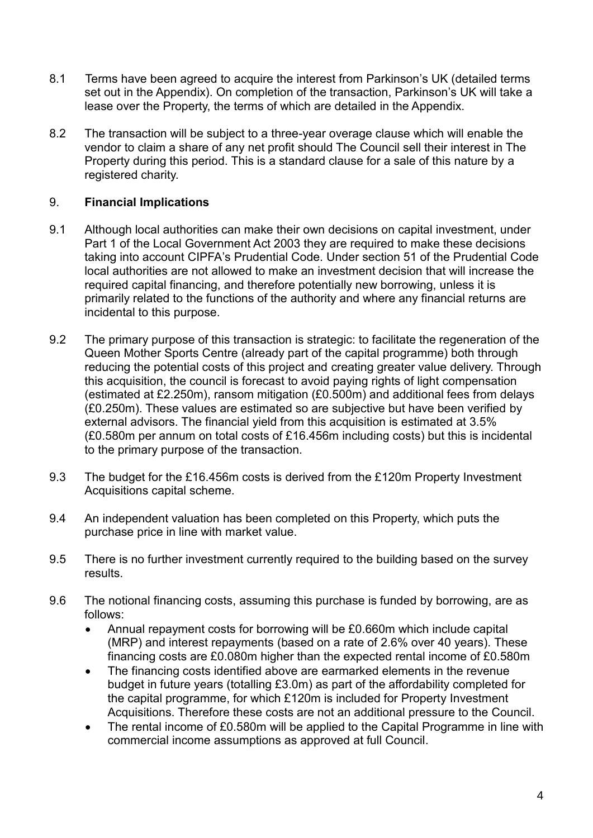- 8.1 Terms have been agreed to acquire the interest from Parkinson's UK (detailed terms set out in the Appendix). On completion of the transaction, Parkinson's UK will take a lease over the Property, the terms of which are detailed in the Appendix.
- 8.2 The transaction will be subject to a three-year overage clause which will enable the vendor to claim a share of any net profit should The Council sell their interest in The Property during this period. This is a standard clause for a sale of this nature by a registered charity.

# 9. **Financial Implications**

- 9.1 Although local authorities can make their own decisions on capital investment, under Part 1 of the Local Government Act 2003 they are required to make these decisions taking into account CIPFA's Prudential Code. Under section 51 of the Prudential Code local authorities are not allowed to make an investment decision that will increase the required capital financing, and therefore potentially new borrowing, unless it is primarily related to the functions of the authority and where any financial returns are incidental to this purpose.
- 9.2 The primary purpose of this transaction is strategic: to facilitate the regeneration of the Queen Mother Sports Centre (already part of the capital programme) both through reducing the potential costs of this project and creating greater value delivery. Through this acquisition, the council is forecast to avoid paying rights of light compensation (estimated at £2.250m), ransom mitigation (£0.500m) and additional fees from delays (£0.250m). These values are estimated so are subjective but have been verified by external advisors. The financial yield from this acquisition is estimated at 3.5% (£0.580m per annum on total costs of £16.456m including costs) but this is incidental to the primary purpose of the transaction.
- 9.3 The budget for the £16.456m costs is derived from the £120m Property Investment Acquisitions capital scheme.
- 9.4 An independent valuation has been completed on this Property, which puts the purchase price in line with market value.
- 9.5 There is no further investment currently required to the building based on the survey results.
- 9.6 The notional financing costs, assuming this purchase is funded by borrowing, are as follows:
	- Annual repayment costs for borrowing will be £0.660m which include capital (MRP) and interest repayments (based on a rate of 2.6% over 40 years). These financing costs are £0.080m higher than the expected rental income of £0.580m
	- The financing costs identified above are earmarked elements in the revenue budget in future years (totalling £3.0m) as part of the affordability completed for the capital programme, for which £120m is included for Property Investment Acquisitions. Therefore these costs are not an additional pressure to the Council.
	- The rental income of £0.580m will be applied to the Capital Programme in line with commercial income assumptions as approved at full Council.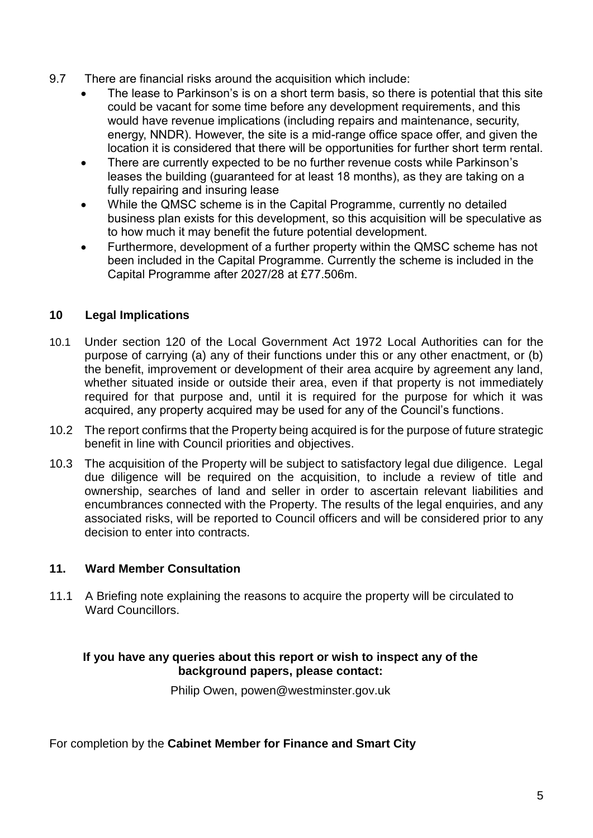- 9.7 There are financial risks around the acquisition which include:
	- The lease to Parkinson's is on a short term basis, so there is potential that this site could be vacant for some time before any development requirements, and this would have revenue implications (including repairs and maintenance, security, energy, NNDR). However, the site is a mid-range office space offer, and given the location it is considered that there will be opportunities for further short term rental.
	- There are currently expected to be no further revenue costs while Parkinson's leases the building (guaranteed for at least 18 months), as they are taking on a fully repairing and insuring lease
	- While the QMSC scheme is in the Capital Programme, currently no detailed business plan exists for this development, so this acquisition will be speculative as to how much it may benefit the future potential development.
	- Furthermore, development of a further property within the QMSC scheme has not been included in the Capital Programme. Currently the scheme is included in the Capital Programme after 2027/28 at £77.506m.

### **10 Legal Implications**

- 10.1 Under section 120 of the Local Government Act 1972 Local Authorities can for the purpose of carrying (a) any of their functions under this or any other enactment, or (b) the benefit, improvement or development of their area acquire by agreement any land, whether situated inside or outside their area, even if that property is not immediately required for that purpose and, until it is required for the purpose for which it was acquired, any property acquired may be used for any of the Council's functions.
- 10.2 The report confirms that the Property being acquired is for the purpose of future strategic benefit in line with Council priorities and objectives.
- 10.3 The acquisition of the Property will be subject to satisfactory legal due diligence. Legal due diligence will be required on the acquisition, to include a review of title and ownership, searches of land and seller in order to ascertain relevant liabilities and encumbrances connected with the Property. The results of the legal enquiries, and any associated risks, will be reported to Council officers and will be considered prior to any decision to enter into contracts.

#### **11. Ward Member Consultation**

11.1 A Briefing note explaining the reasons to acquire the property will be circulated to Ward Councillors.

### **If you have any queries about this report or wish to inspect any of the background papers, please contact:**

Philip Owen, powen@westminster.gov.uk

For completion by the **Cabinet Member for Finance and Smart City**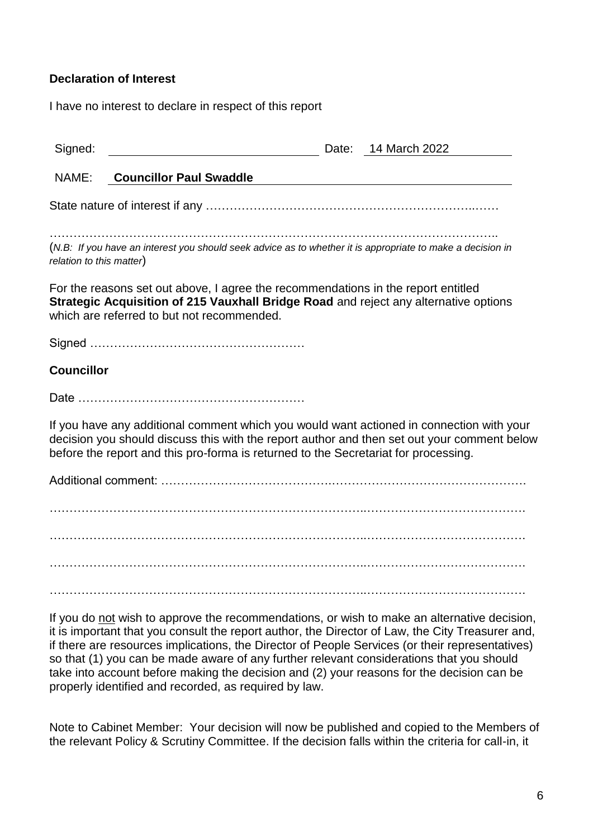### **Declaration of Interest**

I have no interest to declare in respect of this report

| Signed:                                                                                                                                                                                                                                                                        |                                                                                                                             |  | Date: 14 March 2022 |  |
|--------------------------------------------------------------------------------------------------------------------------------------------------------------------------------------------------------------------------------------------------------------------------------|-----------------------------------------------------------------------------------------------------------------------------|--|---------------------|--|
| NAME:                                                                                                                                                                                                                                                                          | <b>Councillor Paul Swaddle</b>                                                                                              |  |                     |  |
|                                                                                                                                                                                                                                                                                |                                                                                                                             |  |                     |  |
| relation to this matter)                                                                                                                                                                                                                                                       | (N.B: If you have an interest you should seek advice as to whether it is appropriate to make a decision in                  |  |                     |  |
| For the reasons set out above, I agree the recommendations in the report entitled<br>Strategic Acquisition of 215 Vauxhall Bridge Road and reject any alternative options<br>which are referred to but not recommended.                                                        |                                                                                                                             |  |                     |  |
|                                                                                                                                                                                                                                                                                |                                                                                                                             |  |                     |  |
| <b>Councillor</b>                                                                                                                                                                                                                                                              |                                                                                                                             |  |                     |  |
|                                                                                                                                                                                                                                                                                |                                                                                                                             |  |                     |  |
| If you have any additional comment which you would want actioned in connection with your<br>decision you should discuss this with the report author and then set out your comment below<br>before the report and this pro-forma is returned to the Secretariat for processing. |                                                                                                                             |  |                     |  |
|                                                                                                                                                                                                                                                                                |                                                                                                                             |  |                     |  |
|                                                                                                                                                                                                                                                                                |                                                                                                                             |  |                     |  |
|                                                                                                                                                                                                                                                                                |                                                                                                                             |  |                     |  |
|                                                                                                                                                                                                                                                                                |                                                                                                                             |  |                     |  |
|                                                                                                                                                                                                                                                                                |                                                                                                                             |  |                     |  |
|                                                                                                                                                                                                                                                                                | $\mathbf{R}$ , and the second second contracts in the second second second second second second second second second second |  |                     |  |

If you do not wish to approve the recommendations, or wish to make an alternative decision, it is important that you consult the report author, the Director of Law, the City Treasurer and, if there are resources implications, the Director of People Services (or their representatives) so that (1) you can be made aware of any further relevant considerations that you should take into account before making the decision and (2) your reasons for the decision can be properly identified and recorded, as required by law.

Note to Cabinet Member: Your decision will now be published and copied to the Members of the relevant Policy & Scrutiny Committee. If the decision falls within the criteria for call-in, it